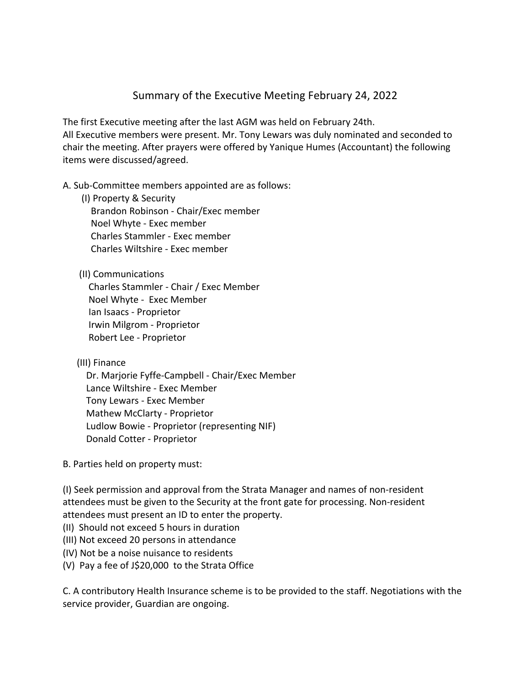## Summary of the Executive Meeting February 24, 2022

The first Executive meeting after the last AGM was held on February 24th. All Executive members were present. Mr. Tony Lewars was duly nominated and seconded to chair the meeting. After prayers were offered by Yanique Humes (Accountant) the following items were discussed/agreed.

## A. Sub-Committee members appointed are as follows:

(I) Property & Security

 Brandon Robinson - Chair/Exec member Noel Whyte - Exec member Charles Stammler - Exec member Charles Wiltshire - Exec member

## (II) Communications

 Charles Stammler - Chair / Exec Member Noel Whyte - Exec Member Ian Isaacs - Proprietor Irwin Milgrom - Proprietor Robert Lee - Proprietor

(III) Finance

 Dr. Marjorie Fyffe-Campbell - Chair/Exec Member Lance Wiltshire - Exec Member Tony Lewars - Exec Member Mathew McClarty - Proprietor Ludlow Bowie - Proprietor (representing NIF) Donald Cotter - Proprietor

B. Parties held on property must:

(I) Seek permission and approval from the Strata Manager and names of non-resident attendees must be given to the Security at the front gate for processing. Non-resident attendees must present an ID to enter the property.

- (II) Should not exceed 5 hours in duration
- (III) Not exceed 20 persons in attendance
- (IV) Not be a noise nuisance to residents
- (V) Pay a fee of J\$20,000 to the Strata Office

C. A contributory Health Insurance scheme is to be provided to the staff. Negotiations with the service provider, Guardian are ongoing.